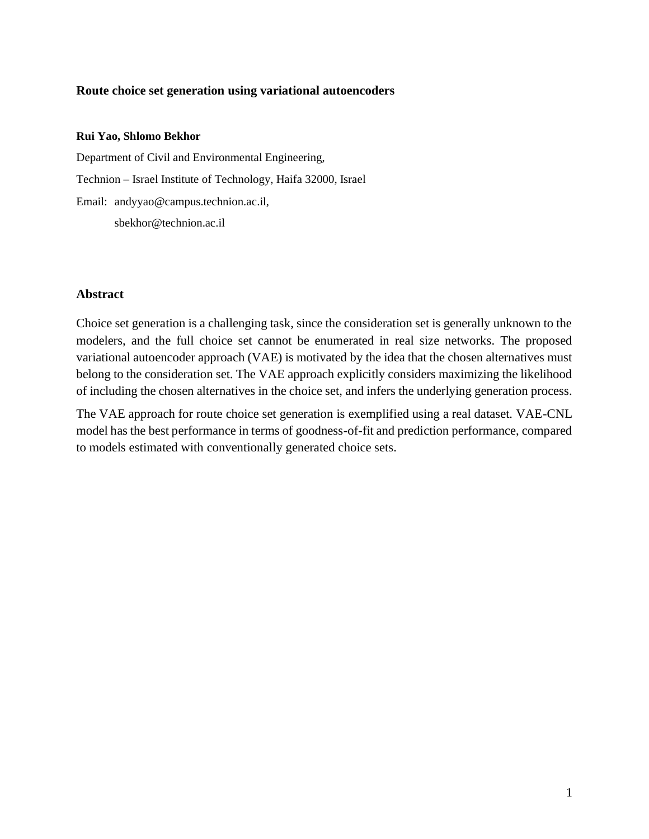# **Route choice set generation using variational autoencoders**

#### **Rui Yao, Shlomo Bekhor**

Department of Civil and Environmental Engineering, Technion – Israel Institute of Technology, Haifa 32000, Israel Email: andyyao@campus.technion.ac.il, sbekhor@technion.ac.il

### **Abstract**

Choice set generation is a challenging task, since the consideration set is generally unknown to the modelers, and the full choice set cannot be enumerated in real size networks. The proposed variational autoencoder approach (VAE) is motivated by the idea that the chosen alternatives must belong to the consideration set. The VAE approach explicitly considers maximizing the likelihood of including the chosen alternatives in the choice set, and infers the underlying generation process.

The VAE approach for route choice set generation is exemplified using a real dataset. VAE-CNL model has the best performance in terms of goodness-of-fit and prediction performance, compared to models estimated with conventionally generated choice sets.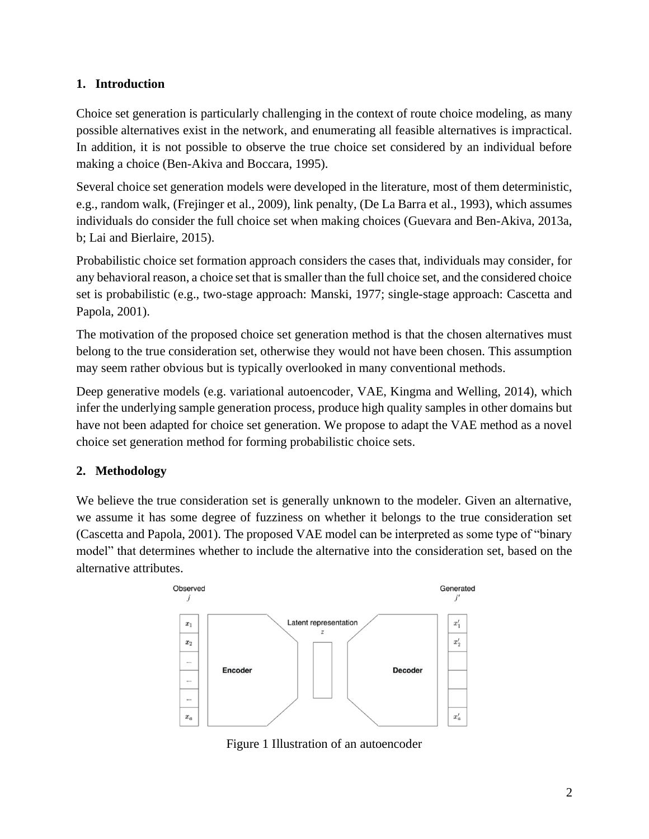# **1. Introduction**

Choice set generation is particularly challenging in the context of route choice modeling, as many possible alternatives exist in the network, and enumerating all feasible alternatives is impractical. In addition, it is not possible to observe the true choice set considered by an individual before making a choice (Ben-Akiva and Boccara, 1995).

Several choice set generation models were developed in the literature, most of them deterministic, e.g., random walk, (Frejinger et al., 2009), link penalty, (De La Barra et al., 1993), which assumes individuals do consider the full choice set when making choices (Guevara and Ben-Akiva, 2013a, b; Lai and Bierlaire, 2015).

Probabilistic choice set formation approach considers the cases that, individuals may consider, for any behavioral reason, a choice set that is smaller than the full choice set, and the considered choice set is probabilistic (e.g., two-stage approach: Manski, 1977; single-stage approach: Cascetta and Papola, 2001).

The motivation of the proposed choice set generation method is that the chosen alternatives must belong to the true consideration set, otherwise they would not have been chosen. This assumption may seem rather obvious but is typically overlooked in many conventional methods.

Deep generative models (e.g. variational autoencoder, VAE, Kingma and Welling, 2014), which infer the underlying sample generation process, produce high quality samples in other domains but have not been adapted for choice set generation. We propose to adapt the VAE method as a novel choice set generation method for forming probabilistic choice sets.

# **2. Methodology**

We believe the true consideration set is generally unknown to the modeler. Given an alternative, we assume it has some degree of fuzziness on whether it belongs to the true consideration set (Cascetta and Papola, 2001). The proposed VAE model can be interpreted as some type of "binary model" that determines whether to include the alternative into the consideration set, based on the alternative attributes.



<span id="page-1-0"></span>Figure 1 Illustration of an autoencoder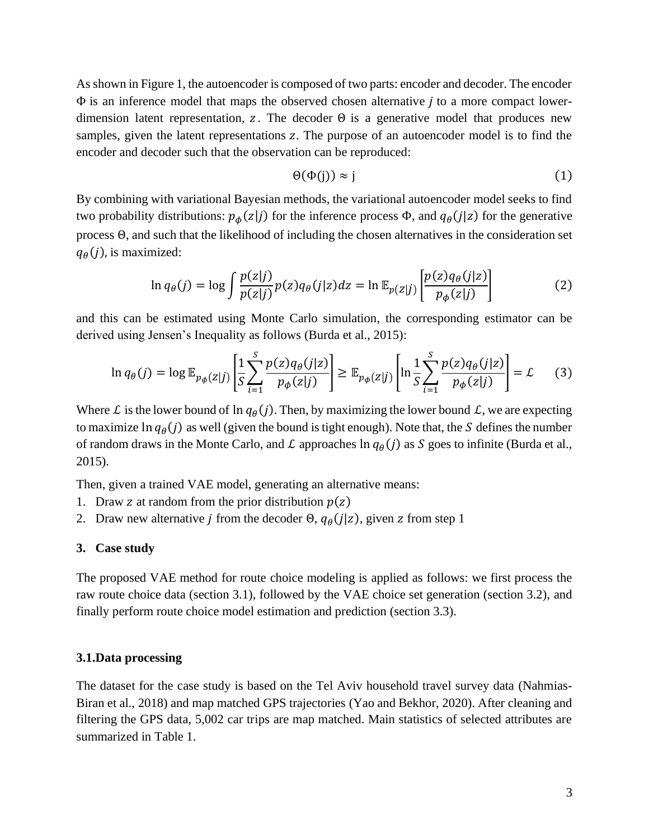As shown in [Figure 1,](#page-1-0) the autoencoder is composed of two parts: encoder and decoder. The encoder  $\Phi$  is an inference model that maps the observed chosen alternative *j* to a more compact lowerdimension latent representation, z. The decoder  $\Theta$  is a generative model that produces new samples, given the latent representations z. The purpose of an autoencoder model is to find the encoder and decoder such that the observation can be reproduced:

$$
\Theta(\Phi(j)) \approx j \tag{1}
$$

By combining with variational Bayesian methods, the variational autoencoder model seeks to find two probability distributions:  $p_{\phi}(z|j)$  for the inference process  $\Phi$ , and  $q_{\theta}(j|z)$  for the generative process Θ, and such that the likelihood of including the chosen alternatives in the consideration set  $q_{\theta}(j)$ , is maximized:

$$
\ln q_{\theta}(j) = \log \int \frac{p(z|j)}{p(z|j)} p(z) q_{\theta}(j|z) dz = \ln \mathbb{E}_{p(z|j)} \left[ \frac{p(z) q_{\theta}(j|z)}{p_{\phi}(z|j)} \right]
$$
(2)

and this can be estimated using Monte Carlo simulation, the corresponding estimator can be derived using Jensen's Inequality as follows (Burda et al., 2015):

$$
\ln q_{\theta}(j) = \log \mathbb{E}_{p_{\phi}(z|j)} \left[ \frac{1}{S} \sum_{i=1}^{S} \frac{p(z)q_{\theta}(j|z)}{p_{\phi}(z|j)} \right] \ge \mathbb{E}_{p_{\phi}(z|j)} \left[ \ln \frac{1}{S} \sum_{i=1}^{S} \frac{p(z)q_{\theta}(j|z)}{p_{\phi}(z|j)} \right] = \mathcal{L}
$$
 (3)

Where *L* is the lower bound of  $\ln q_{\theta}(j)$ . Then, by maximizing the lower bound *L*, we are expecting to maximize  $\ln q_{\theta}(j)$  as well (given the bound is tight enough). Note that, the S defines the number of random draws in the Monte Carlo, and L approaches  $\ln q_{\theta}(j)$  as S goes to infinite (Burda et al., 2015).

Then, given a trained VAE model, generating an alternative means:

- 1. Draw z at random from the prior distribution  $p(z)$
- 2. Draw new alternative *j* from the decoder  $\Theta$ ,  $q_{\theta}(j|z)$ , given *z* from step 1

### **3. Case study**

The proposed VAE method for route choice modeling is applied as follows: we first process the raw route choice data (section 3.1), followed by the VAE choice set generation (section 3.2), and finally perform route choice model estimation and prediction (section 3.3).

## **3.1.Data processing**

The dataset for the case study is based on the Tel Aviv household travel survey data (Nahmias-Biran et al., 2018) and map matched GPS trajectories (Yao and Bekhor, 2020). After cleaning and filtering the GPS data, 5,002 car trips are map matched. Main statistics of selected attributes are summarized in [Table 1.](#page-3-0)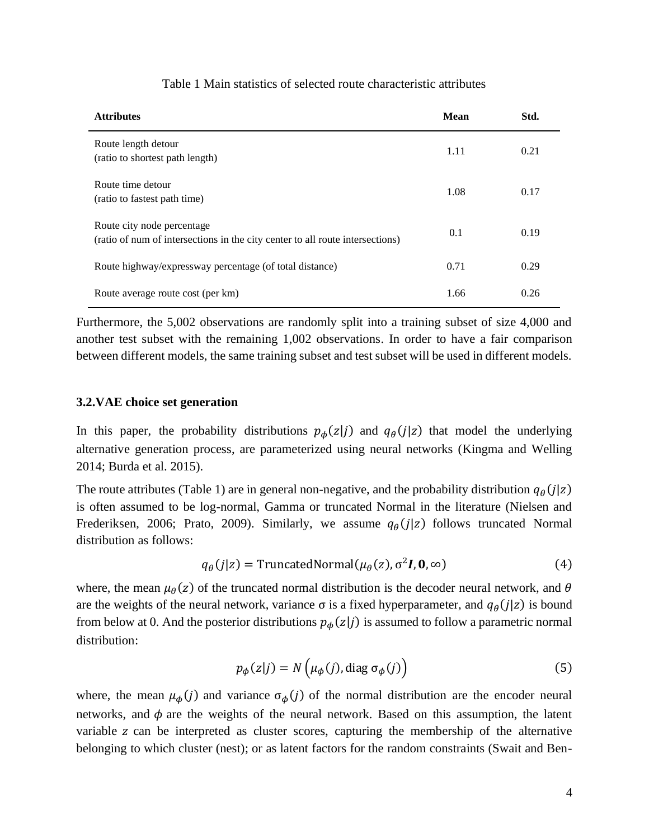<span id="page-3-0"></span>

| <b>Attributes</b>                                                                                            | <b>Mean</b> | Std. |
|--------------------------------------------------------------------------------------------------------------|-------------|------|
| Route length detour<br>(ratio to shortest path length)                                                       | 1.11        | 0.21 |
| Route time detour<br>(ratio to fastest path time)                                                            | 1.08        | 0.17 |
| Route city node percentage.<br>(ratio of num of intersections in the city center to all route intersections) | 0.1         | 0.19 |
| Route highway/expressway percentage (of total distance)                                                      | 0.71        | 0.29 |
| Route average route cost (per km)                                                                            | 1.66        | 0.26 |

## Table 1 Main statistics of selected route characteristic attributes

Furthermore, the 5,002 observations are randomly split into a training subset of size 4,000 and another test subset with the remaining 1,002 observations. In order to have a fair comparison between different models, the same training subset and test subset will be used in different models.

### **3.2.VAE choice set generation**

In this paper, the probability distributions  $p_{\phi}(z|j)$  and  $q_{\theta}(j|z)$  that model the underlying alternative generation process, are parameterized using neural networks (Kingma and Welling 2014; Burda et al. 2015).

The route attributes [\(Table 1\)](#page-3-0) are in general non-negative, and the probability distribution  $q_{\theta}(j|z)$ is often assumed to be log-normal, Gamma or truncated Normal in the literature (Nielsen and Frederiksen, 2006; Prato, 2009). Similarly, we assume  $q_{\theta}(j|z)$  follows truncated Normal distribution as follows:

$$
q_{\theta}(j|z) = \text{TruncatedNormal}(\mu_{\theta}(z), \sigma^2 I, \mathbf{0}, \infty) \tag{4}
$$

where, the mean  $\mu_{\theta}(z)$  of the truncated normal distribution is the decoder neural network, and  $\theta$ are the weights of the neural network, variance  $\sigma$  is a fixed hyperparameter, and  $q_{\theta}(j|z)$  is bound from below at 0. And the posterior distributions  $p_{\phi}(z|j)$  is assumed to follow a parametric normal distribution:

$$
p_{\phi}(z|j) = N\left(\mu_{\phi}(j), \text{diag } \sigma_{\phi}(j)\right) \tag{5}
$$

where, the mean  $\mu_{\phi}(j)$  and variance  $\sigma_{\phi}(j)$  of the normal distribution are the encoder neural networks, and  $\phi$  are the weights of the neural network. Based on this assumption, the latent variable z can be interpreted as cluster scores, capturing the membership of the alternative belonging to which cluster (nest); or as latent factors for the random constraints (Swait and Ben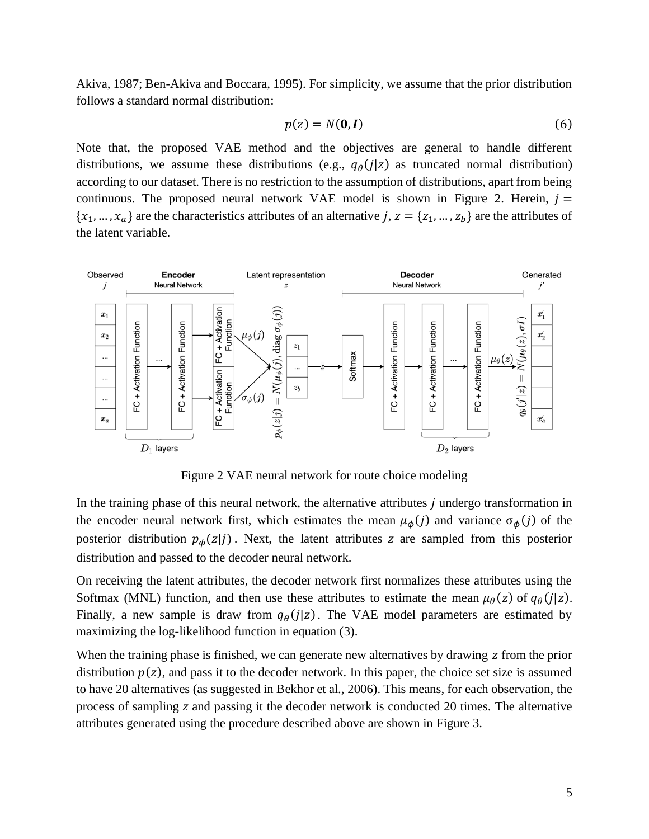Akiva, 1987; Ben-Akiva and Boccara, 1995). For simplicity, we assume that the prior distribution follows a standard normal distribution:

$$
p(z) = N(\mathbf{0}, \mathbf{I})\tag{6}
$$

Note that, the proposed VAE method and the objectives are general to handle different distributions, we assume these distributions (e.g.,  $q_{\theta}(j|z)$  as truncated normal distribution) according to our dataset. There is no restriction to the assumption of distributions, apart from being continuous. The proposed neural network VAE model is shown in [Figure 2.](#page-4-0) Herein,  $j =$  $\{x_1, ..., x_a\}$  are the characteristics attributes of an alternative j,  $z = \{z_1, ..., z_b\}$  are the attributes of the latent variable.



Figure 2 VAE neural network for route choice modeling

<span id="page-4-0"></span>In the training phase of this neural network, the alternative attributes  *undergo transformation in* the encoder neural network first, which estimates the mean  $\mu_{\phi}(j)$  and variance  $\sigma_{\phi}(j)$  of the posterior distribution  $p_{\phi}(z|j)$ . Next, the latent attributes z are sampled from this posterior distribution and passed to the decoder neural network.

On receiving the latent attributes, the decoder network first normalizes these attributes using the Softmax (MNL) function, and then use these attributes to estimate the mean  $\mu_{\theta}(z)$  of  $q_{\theta}(j|z)$ . Finally, a new sample is draw from  $q_{\theta}(j|z)$ . The VAE model parameters are estimated by maximizing the log-likelihood function in equation (3).

When the training phase is finished, we can generate new alternatives by drawing z from the prior distribution  $p(z)$ , and pass it to the decoder network. In this paper, the choice set size is assumed to have 20 alternatives (as suggested in Bekhor et al., 2006). This means, for each observation, the process of sampling  $\bar{z}$  and passing it the decoder network is conducted 20 times. The alternative attributes generated using the procedure described above are shown in [Figure 3.](#page-5-0)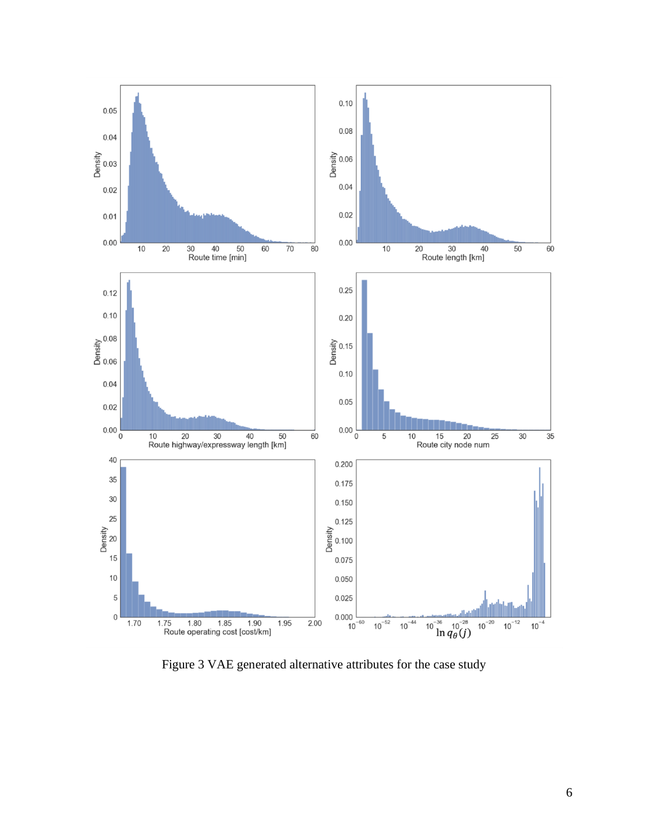

<span id="page-5-0"></span>Figure 3 VAE generated alternative attributes for the case study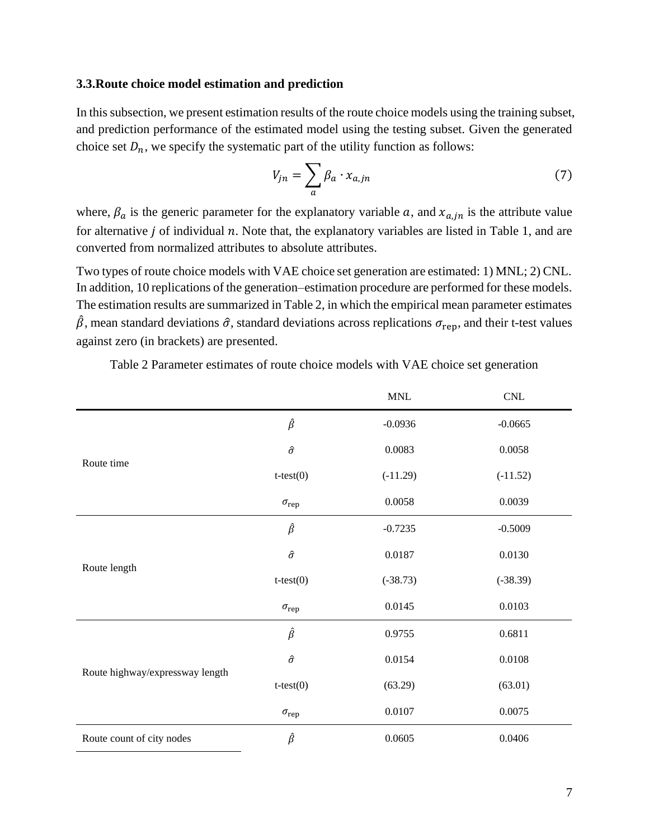### **3.3.Route choice model estimation and prediction**

In this subsection, we present estimation results of the route choice models using the training subset, and prediction performance of the estimated model using the testing subset. Given the generated choice set  $D_n$ , we specify the systematic part of the utility function as follows:

$$
V_{jn} = \sum_{a} \beta_a \cdot x_{a,jn} \tag{7}
$$

where,  $\beta_a$  is the generic parameter for the explanatory variable a, and  $x_{a}$  is the attribute value for alternative  $j$  of individual  $n$ . Note that, the explanatory variables are listed in [Table 1,](#page-3-0) and are converted from normalized attributes to absolute attributes.

Two types of route choice models with VAE choice set generation are estimated: 1) MNL; 2) CNL. In addition, 10 replications of the generation–estimation procedure are performed for these models. The estimation results are summarized in [Table 2,](#page-6-0) in which the empirical mean parameter estimates  $\hat{\beta}$ , mean standard deviations  $\hat{\sigma}$ , standard deviations across replications  $\sigma_{\text{rep}}$ , and their t-test values against zero (in brackets) are presented.

<span id="page-6-0"></span>

|                                 |                    | $\ensuremath{\text{MNL}}$ | $\ensuremath{\text{CNL}}$ |
|---------------------------------|--------------------|---------------------------|---------------------------|
|                                 | $\hat{\beta}$      | $-0.0936$                 | $-0.0665$                 |
| Route time                      | $\hat{\sigma}$     | 0.0083                    | 0.0058                    |
|                                 | $t-test(0)$        | $(-11.29)$                | $(-11.52)$                |
|                                 | $\sigma_{\rm rep}$ | 0.0058                    | 0.0039                    |
|                                 | $\hat{\beta}$      | $-0.7235$                 | $-0.5009$                 |
| Route length                    | $\hat{\sigma}$     | 0.0187                    | 0.0130                    |
|                                 | $t-test(0)$        | $(-38.73)$                | $(-38.39)$                |
|                                 | $\sigma_{\rm rep}$ | 0.0145                    | 0.0103                    |
| Route highway/expressway length | $\hat{\beta}$      | 0.9755                    | 0.6811                    |
|                                 | $\hat{\sigma}$     | 0.0154                    | 0.0108                    |
|                                 | $t-test(0)$        | (63.29)                   | (63.01)                   |
|                                 | $\sigma_{\rm rep}$ | 0.0107                    | 0.0075                    |
| Route count of city nodes       | $\hat{\beta}$      | 0.0605                    | 0.0406                    |

Table 2 Parameter estimates of route choice models with VAE choice set generation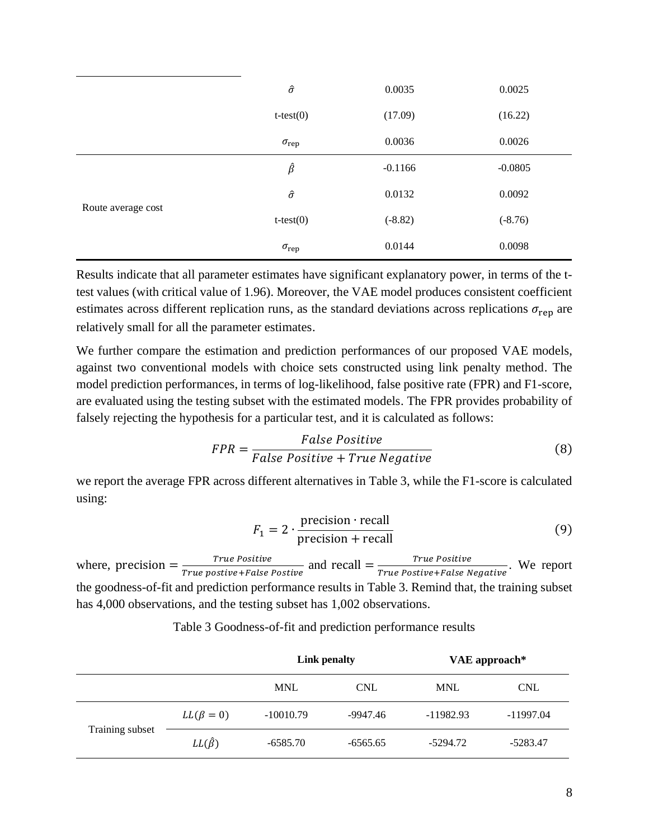|                    | $\hat{\sigma}$     | 0.0035    | 0.0025    |
|--------------------|--------------------|-----------|-----------|
|                    | $t-test(0)$        | (17.09)   | (16.22)   |
|                    | $\sigma_{\rm rep}$ | 0.0036    | 0.0026    |
| Route average cost | $\hat{\beta}$      | $-0.1166$ | $-0.0805$ |
|                    | $\hat{\sigma}$     | 0.0132    | 0.0092    |
|                    | $t-test(0)$        | $(-8.82)$ | $(-8.76)$ |
|                    | $\sigma_{\rm rep}$ | 0.0144    | 0.0098    |

Results indicate that all parameter estimates have significant explanatory power, in terms of the ttest values (with critical value of 1.96). Moreover, the VAE model produces consistent coefficient estimates across different replication runs, as the standard deviations across replications  $\sigma_{\text{rep}}$  are relatively small for all the parameter estimates.

We further compare the estimation and prediction performances of our proposed VAE models, against two conventional models with choice sets constructed using link penalty method. The model prediction performances, in terms of log-likelihood, false positive rate (FPR) and F1-score, are evaluated using the testing subset with the estimated models. The FPR provides probability of falsely rejecting the hypothesis for a particular test, and it is calculated as follows:

$$
FPR = \frac{False Positive}{False Positive + True Negative}
$$
 (8)

we report the average FPR across different alternatives in [Table 3,](#page-7-0) while the F1-score is calculated using:

$$
F_1 = 2 \cdot \frac{\text{precision} \cdot \text{recall}}{\text{precision} + \text{recall}}
$$
 (9)

where, precision  $=\frac{True \ Positive}{True \ positive \ Exercise 1 \ False}$  $\frac{True \ Positive}{True \ positive + False \ Positive} \ and \ recall = \frac{True \ Positive}{True \ Positive + False \ N}$  $\frac{1}{\text{True Positive}}$  We report We report the goodness-of-fit and prediction performance results in [Table 3.](#page-7-0) Remind that, the training subset has 4,000 observations, and the testing subset has 1,002 observations.

<span id="page-7-0"></span>

|                 |                   | Link penalty |            | VAE approach* |             |
|-----------------|-------------------|--------------|------------|---------------|-------------|
|                 |                   | <b>MNL</b>   | <b>CNL</b> | <b>MNL</b>    | <b>CNL</b>  |
| Training subset | $LL(\beta = 0)$   | $-10010.79$  | -9947.46   | $-11982.93$   | $-11997.04$ |
|                 | $LL(\hat{\beta})$ | $-6585.70$   | $-6565.65$ | -5294.72      | -5283.47    |

Table 3 Goodness-of-fit and prediction performance results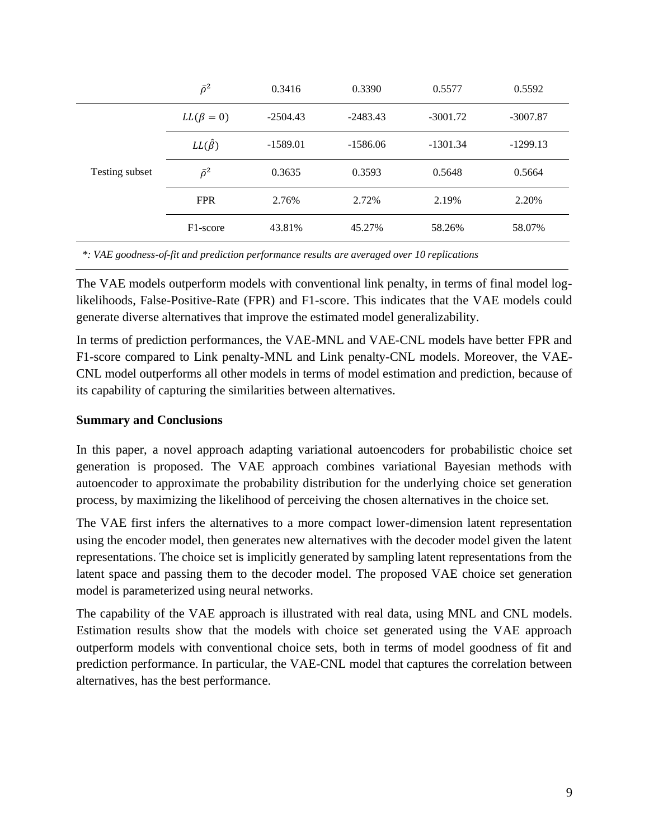|                | $\bar{\rho}^2$        | 0.3416     | 0.3390     | 0.5577     | 0.5592     |
|----------------|-----------------------|------------|------------|------------|------------|
| Testing subset | $LL(\beta = 0)$       | $-2504.43$ | $-2483.43$ | $-3001.72$ | $-3007.87$ |
|                | $LL(\hat{\beta})$     | $-1589.01$ | $-1586.06$ | $-1301.34$ | $-1299.13$ |
|                | $\bar{\rho}^2$        | 0.3635     | 0.3593     | 0.5648     | 0.5664     |
|                | <b>FPR</b>            | 2.76%      | 2.72%      | 2.19%      | 2.20%      |
|                | F <sub>1</sub> -score | 43.81%     | 45.27%     | 58.26%     | 58.07%     |

*\*: VAE goodness-of-fit and prediction performance results are averaged over 10 replications*

The VAE models outperform models with conventional link penalty, in terms of final model loglikelihoods, False-Positive-Rate (FPR) and F1-score. This indicates that the VAE models could generate diverse alternatives that improve the estimated model generalizability.

In terms of prediction performances, the VAE-MNL and VAE-CNL models have better FPR and F1-score compared to Link penalty-MNL and Link penalty-CNL models. Moreover, the VAE-CNL model outperforms all other models in terms of model estimation and prediction, because of its capability of capturing the similarities between alternatives.

# **Summary and Conclusions**

In this paper, a novel approach adapting variational autoencoders for probabilistic choice set generation is proposed. The VAE approach combines variational Bayesian methods with autoencoder to approximate the probability distribution for the underlying choice set generation process, by maximizing the likelihood of perceiving the chosen alternatives in the choice set.

The VAE first infers the alternatives to a more compact lower-dimension latent representation using the encoder model, then generates new alternatives with the decoder model given the latent representations. The choice set is implicitly generated by sampling latent representations from the latent space and passing them to the decoder model. The proposed VAE choice set generation model is parameterized using neural networks.

The capability of the VAE approach is illustrated with real data, using MNL and CNL models. Estimation results show that the models with choice set generated using the VAE approach outperform models with conventional choice sets, both in terms of model goodness of fit and prediction performance. In particular, the VAE-CNL model that captures the correlation between alternatives, has the best performance.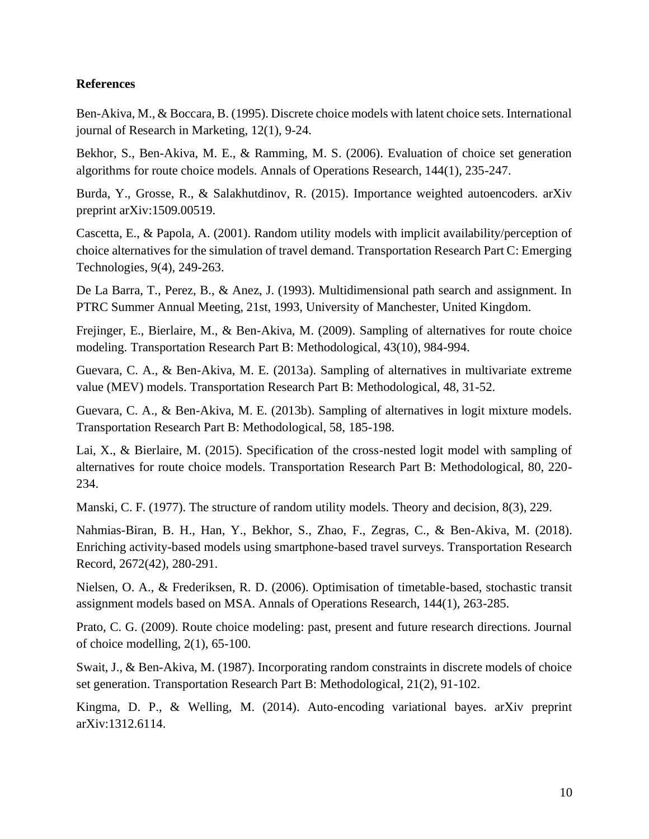# **References**

Ben-Akiva, M., & Boccara, B. (1995). Discrete choice models with latent choice sets. International journal of Research in Marketing, 12(1), 9-24.

Bekhor, S., Ben-Akiva, M. E., & Ramming, M. S. (2006). Evaluation of choice set generation algorithms for route choice models. Annals of Operations Research, 144(1), 235-247.

Burda, Y., Grosse, R., & Salakhutdinov, R. (2015). Importance weighted autoencoders. arXiv preprint arXiv:1509.00519.

Cascetta, E., & Papola, A. (2001). Random utility models with implicit availability/perception of choice alternatives for the simulation of travel demand. Transportation Research Part C: Emerging Technologies, 9(4), 249-263.

De La Barra, T., Perez, B., & Anez, J. (1993). Multidimensional path search and assignment. In PTRC Summer Annual Meeting, 21st, 1993, University of Manchester, United Kingdom.

Frejinger, E., Bierlaire, M., & Ben-Akiva, M. (2009). Sampling of alternatives for route choice modeling. Transportation Research Part B: Methodological, 43(10), 984-994.

Guevara, C. A., & Ben-Akiva, M. E. (2013a). Sampling of alternatives in multivariate extreme value (MEV) models. Transportation Research Part B: Methodological, 48, 31-52.

Guevara, C. A., & Ben-Akiva, M. E. (2013b). Sampling of alternatives in logit mixture models. Transportation Research Part B: Methodological, 58, 185-198.

Lai, X., & Bierlaire, M. (2015). Specification of the cross-nested logit model with sampling of alternatives for route choice models. Transportation Research Part B: Methodological, 80, 220- 234.

Manski, C. F. (1977). The structure of random utility models. Theory and decision, 8(3), 229.

Nahmias-Biran, B. H., Han, Y., Bekhor, S., Zhao, F., Zegras, C., & Ben-Akiva, M. (2018). Enriching activity-based models using smartphone-based travel surveys. Transportation Research Record, 2672(42), 280-291.

Nielsen, O. A., & Frederiksen, R. D. (2006). Optimisation of timetable-based, stochastic transit assignment models based on MSA. Annals of Operations Research, 144(1), 263-285.

Prato, C. G. (2009). Route choice modeling: past, present and future research directions. Journal of choice modelling, 2(1), 65-100.

Swait, J., & Ben-Akiva, M. (1987). Incorporating random constraints in discrete models of choice set generation. Transportation Research Part B: Methodological, 21(2), 91-102.

Kingma, D. P., & Welling, M. (2014). Auto-encoding variational bayes. arXiv preprint arXiv:1312.6114.